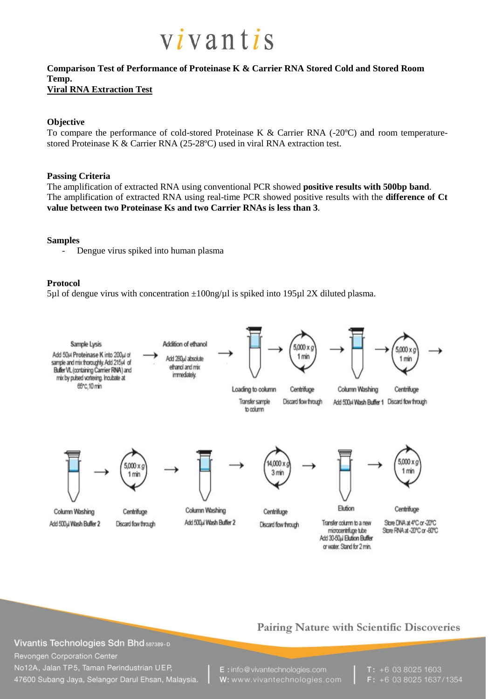

#### **Comparison Test of Performance of Proteinase K & Carrier RNA Stored Cold and Stored Room Temp. Viral RNA Extraction Test**

#### **Objective**

To compare the performance of cold-stored Proteinase K & Carrier RNA (-20ºC) and room temperaturestored Proteinase K & Carrier RNA (25-28ºC) used in viral RNA extraction test.

#### **Passing Criteria**

The amplification of extracted RNA using conventional PCR showed **positive results with 500bp band**. The amplification of extracted RNA using real-time PCR showed positive results with the **difference of Ct value between two Proteinase Ks and two Carrier RNAs is less than 3**.

#### **Samples**

- Dengue virus spiked into human plasma

#### **Protocol**

5µl of dengue virus with concentration  $\pm 100$ ng/µl is spiked into 195µl 2X diluted plasma.



# Pairing Nature with Scientific Discoveries

Vivantis Technologies Sdn Bhd 587389-D Revongen Corporation Center No12A, Jalan TP5, Taman Perindustrian UEP, 47600 Subang Jaya, Selangor Darul Ehsan, Malaysia.

E: info@vivantechnologies.com W: www.vivantechnologies.com  $T: +60380251603$ F: +6 03 8025 1637/1354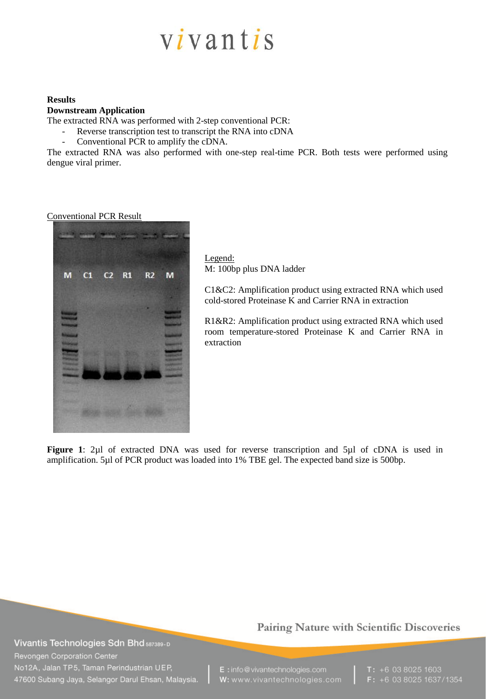# vivantis

#### **Results**

#### **Downstream Application**

The extracted RNA was performed with 2-step conventional PCR:

- Reverse transcription test to transcript the RNA into cDNA
- Conventional PCR to amplify the cDNA.

The extracted RNA was also performed with one-step real-time PCR. Both tests were performed using dengue viral primer.

Conventional PCR Result



Legend: M: 100bp plus DNA ladder

C1&C2: Amplification product using extracted RNA which used cold-stored Proteinase  $\hat{K}$  and Carrier RNA in extraction

R1&R2: Amplification product using extracted RNA which used room temperature-stored Proteinase K and Carrier RNA in extraction

**Figure 1**: 2µl of extracted DNA was used for reverse transcription and 5µl of cDNA is used in amplification. 5µl of PCR product was loaded into 1% TBE gel. The expected band size is 500bp.

Vivantis Technologies Sdn Bhd 587389-D Revongen Corporation Center No12A, Jalan TP5, Taman Perindustrian UEP, 47600 Subang Jaya, Selangor Darul Ehsan, Malaysia.

# Pairing Nature with Scientific Discoveries

E: info@vivantechnologies.com W: www.vivantechnologies.com  $T: +60380251603$  $F: +60380251637/1354$